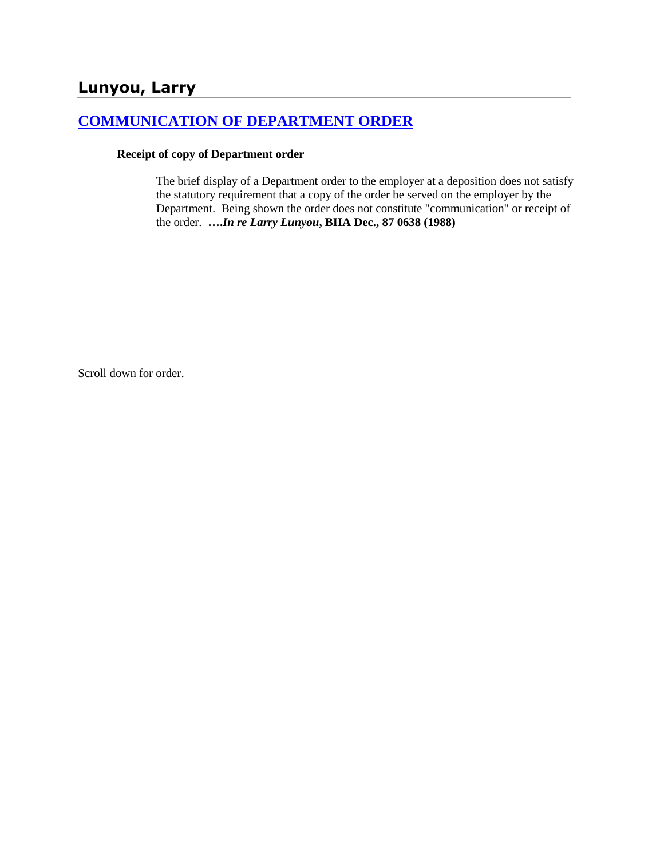## **Lunyou, Larry**

# **[COMMUNICATION OF DEPARTMENT ORDER](http://www.biia.wa.gov/SDSubjectIndex.html#COMMUNICATION_OF_DEPARTMENT_ORDER)**

#### **Receipt of copy of Department order**

The brief display of a Department order to the employer at a deposition does not satisfy the statutory requirement that a copy of the order be served on the employer by the Department. Being shown the order does not constitute "communication" or receipt of the order. **….***In re Larry Lunyou***, BIIA Dec., 87 0638 (1988)** 

Scroll down for order.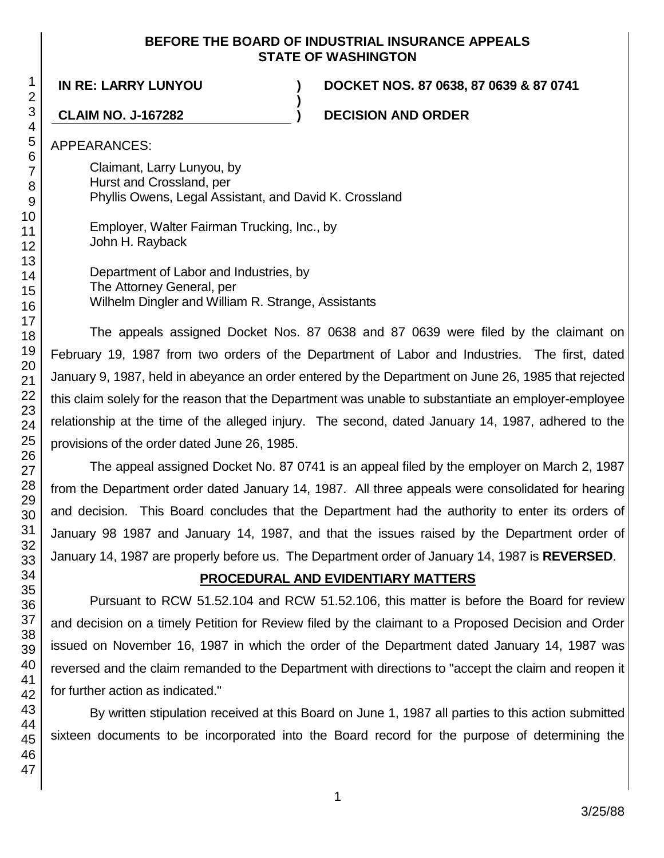#### **BEFORE THE BOARD OF INDUSTRIAL INSURANCE APPEALS STATE OF WASHINGTON**

**)**

**IN RE: LARRY LUNYOU ) DOCKET NOS. 87 0638, 87 0639 & 87 0741**

**CLAIM NO. J-167282 ) DECISION AND ORDER**

APPEARANCES:

Claimant, Larry Lunyou, by Hurst and Crossland, per Phyllis Owens, Legal Assistant, and David K. Crossland

Employer, Walter Fairman Trucking, Inc., by John H. Rayback

Department of Labor and Industries, by The Attorney General, per Wilhelm Dingler and William R. Strange, Assistants

The appeals assigned Docket Nos. 87 0638 and 87 0639 were filed by the claimant on February 19, 1987 from two orders of the Department of Labor and Industries. The first, dated January 9, 1987, held in abeyance an order entered by the Department on June 26, 1985 that rejected this claim solely for the reason that the Department was unable to substantiate an employer-employee relationship at the time of the alleged injury. The second, dated January 14, 1987, adhered to the provisions of the order dated June 26, 1985.

The appeal assigned Docket No. 87 0741 is an appeal filed by the employer on March 2, 1987 from the Department order dated January 14, 1987. All three appeals were consolidated for hearing and decision. This Board concludes that the Department had the authority to enter its orders of January 98 1987 and January 14, 1987, and that the issues raised by the Department order of January 14, 1987 are properly before us. The Department order of January 14, 1987 is **REVERSED**.

### **PROCEDURAL AND EVIDENTIARY MATTERS**

Pursuant to RCW 51.52.104 and RCW 51.52.106, this matter is before the Board for review and decision on a timely Petition for Review filed by the claimant to a Proposed Decision and Order issued on November 16, 1987 in which the order of the Department dated January 14, 1987 was reversed and the claim remanded to the Department with directions to "accept the claim and reopen it for further action as indicated."

By written stipulation received at this Board on June 1, 1987 all parties to this action submitted sixteen documents to be incorporated into the Board record for the purpose of determining the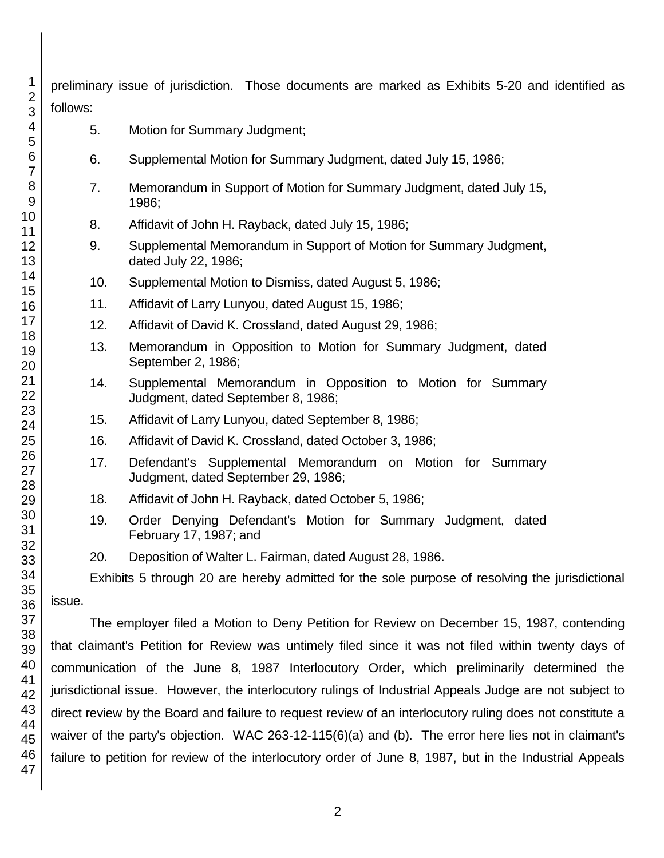| 1                   |                                                                                                           | preliminary issue of jurisdiction. Those documents are marked as Exhibits 5-20 and identified as         |  |
|---------------------|-----------------------------------------------------------------------------------------------------------|----------------------------------------------------------------------------------------------------------|--|
| $\overline{2}$<br>3 | follows:                                                                                                  |                                                                                                          |  |
| 4<br>5              | 5.                                                                                                        | Motion for Summary Judgment;                                                                             |  |
| 6<br>$\overline{7}$ | 6.                                                                                                        | Supplemental Motion for Summary Judgment, dated July 15, 1986;                                           |  |
| 8<br>9              | 7.                                                                                                        | Memorandum in Support of Motion for Summary Judgment, dated July 15,<br>1986;                            |  |
| 10<br>11            | 8.                                                                                                        | Affidavit of John H. Rayback, dated July 15, 1986;                                                       |  |
| 12<br>13            | 9.                                                                                                        | Supplemental Memorandum in Support of Motion for Summary Judgment,<br>dated July 22, 1986;               |  |
| 14                  | 10.                                                                                                       | Supplemental Motion to Dismiss, dated August 5, 1986;                                                    |  |
| 15<br>16            | 11.                                                                                                       | Affidavit of Larry Lunyou, dated August 15, 1986;                                                        |  |
| 17                  | 12.                                                                                                       | Affidavit of David K. Crossland, dated August 29, 1986;                                                  |  |
| 18<br>19<br>20      | 13.                                                                                                       | Memorandum in Opposition to Motion for Summary Judgment, dated<br>September 2, 1986;                     |  |
| 21<br>22            | 14.                                                                                                       | Supplemental Memorandum in Opposition to Motion for Summary<br>Judgment, dated September 8, 1986;        |  |
| 23<br>24            | 15.                                                                                                       | Affidavit of Larry Lunyou, dated September 8, 1986;                                                      |  |
| 25                  | 16.                                                                                                       | Affidavit of David K. Crossland, dated October 3, 1986;                                                  |  |
| 26<br>27<br>28      | 17.                                                                                                       | Defendant's Supplemental Memorandum on Motion for Summary<br>Judgment, dated September 29, 1986;         |  |
| 29                  | 18.                                                                                                       | Affidavit of John H. Rayback, dated October 5, 1986;                                                     |  |
| 30<br>31            | 19.                                                                                                       | Order Denying Defendant's Motion for Summary Judgment, dated<br>February 17, 1987; and                   |  |
| 32<br>33            | 20.                                                                                                       | Deposition of Walter L. Fairman, dated August 28, 1986.                                                  |  |
| 34                  |                                                                                                           | Exhibits 5 through 20 are hereby admitted for the sole purpose of resolving the jurisdictional           |  |
| 35<br>36            | issue.                                                                                                    |                                                                                                          |  |
| 37                  |                                                                                                           | The employer filed a Motion to Deny Petition for Review on December 15, 1987, contending                 |  |
| 38<br>39            | that claimant's Petition for Review was untimely filed since it was not filed within twenty days of       |                                                                                                          |  |
| 40                  |                                                                                                           | communication of the June 8, 1987 Interlocutory Order, which preliminarily determined the                |  |
| 41<br>42            | jurisdictional issue. However, the interlocutory rulings of Industrial Appeals Judge are not subject to   |                                                                                                          |  |
| 43                  | direct review by the Board and failure to request review of an interlocutory ruling does not constitute a |                                                                                                          |  |
| 44<br>45            | waiver of the party's objection. WAC 263-12-115(6)(a) and (b). The error here lies not in claimant's      |                                                                                                          |  |
| 46                  |                                                                                                           | failure to petition for review of the interlocutory order of June 8, 1987, but in the Industrial Appeals |  |

47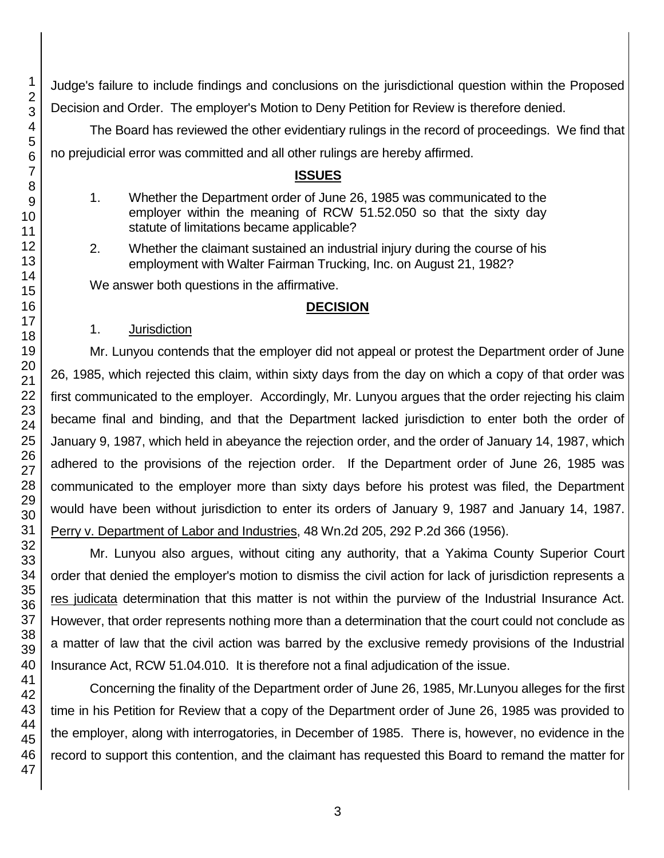Judge's failure to include findings and conclusions on the jurisdictional question within the Proposed Decision and Order. The employer's Motion to Deny Petition for Review is therefore denied.

The Board has reviewed the other evidentiary rulings in the record of proceedings. We find that no prejudicial error was committed and all other rulings are hereby affirmed.

#### **ISSUES**

- 1. Whether the Department order of June 26, 1985 was communicated to the employer within the meaning of RCW 51.52.050 so that the sixty day statute of limitations became applicable?
- 2. Whether the claimant sustained an industrial injury during the course of his employment with Walter Fairman Trucking, Inc. on August 21, 1982?

We answer both questions in the affirmative.

#### **DECISION**

#### 1. Jurisdiction

Mr. Lunyou contends that the employer did not appeal or protest the Department order of June 26, 1985, which rejected this claim, within sixty days from the day on which a copy of that order was first communicated to the employer. Accordingly, Mr. Lunyou argues that the order rejecting his claim became final and binding, and that the Department lacked jurisdiction to enter both the order of January 9, 1987, which held in abeyance the rejection order, and the order of January 14, 1987, which adhered to the provisions of the rejection order. If the Department order of June 26, 1985 was communicated to the employer more than sixty days before his protest was filed, the Department would have been without jurisdiction to enter its orders of January 9, 1987 and January 14, 1987. Perry v. Department of Labor and Industries, 48 Wn.2d 205, 292 P.2d 366 (1956).

Mr. Lunyou also argues, without citing any authority, that a Yakima County Superior Court order that denied the employer's motion to dismiss the civil action for lack of jurisdiction represents a res judicata determination that this matter is not within the purview of the Industrial Insurance Act. However, that order represents nothing more than a determination that the court could not conclude as a matter of law that the civil action was barred by the exclusive remedy provisions of the Industrial Insurance Act, RCW 51.04.010. It is therefore not a final adjudication of the issue.

Concerning the finality of the Department order of June 26, 1985, Mr.Lunyou alleges for the first time in his Petition for Review that a copy of the Department order of June 26, 1985 was provided to the employer, along with interrogatories, in December of 1985. There is, however, no evidence in the record to support this contention, and the claimant has requested this Board to remand the matter for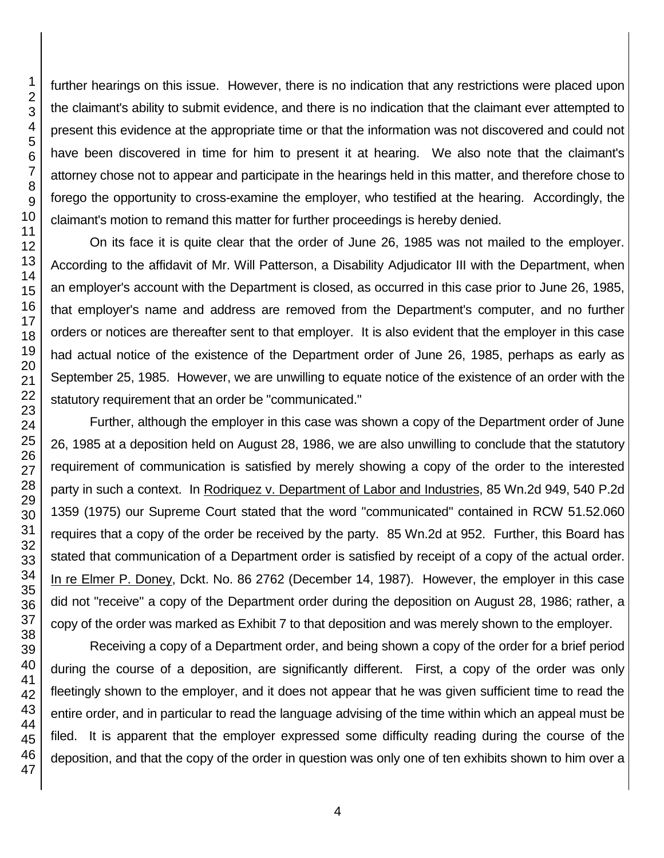further hearings on this issue. However, there is no indication that any restrictions were placed upon the claimant's ability to submit evidence, and there is no indication that the claimant ever attempted to present this evidence at the appropriate time or that the information was not discovered and could not have been discovered in time for him to present it at hearing. We also note that the claimant's attorney chose not to appear and participate in the hearings held in this matter, and therefore chose to forego the opportunity to cross-examine the employer, who testified at the hearing. Accordingly, the claimant's motion to remand this matter for further proceedings is hereby denied.

On its face it is quite clear that the order of June 26, 1985 was not mailed to the employer. According to the affidavit of Mr. Will Patterson, a Disability Adjudicator III with the Department, when an employer's account with the Department is closed, as occurred in this case prior to June 26, 1985, that employer's name and address are removed from the Department's computer, and no further orders or notices are thereafter sent to that employer. It is also evident that the employer in this case had actual notice of the existence of the Department order of June 26, 1985, perhaps as early as September 25, 1985. However, we are unwilling to equate notice of the existence of an order with the statutory requirement that an order be "communicated."

Further, although the employer in this case was shown a copy of the Department order of June 26, 1985 at a deposition held on August 28, 1986, we are also unwilling to conclude that the statutory requirement of communication is satisfied by merely showing a copy of the order to the interested party in such a context. In Rodriquez v. Department of Labor and Industries, 85 Wn.2d 949, 540 P.2d 1359 (1975) our Supreme Court stated that the word "communicated" contained in RCW 51.52.060 requires that a copy of the order be received by the party. 85 Wn.2d at 952. Further, this Board has stated that communication of a Department order is satisfied by receipt of a copy of the actual order. In re Elmer P. Doney, Dckt. No. 86 2762 (December 14, 1987). However, the employer in this case did not "receive" a copy of the Department order during the deposition on August 28, 1986; rather, a copy of the order was marked as Exhibit 7 to that deposition and was merely shown to the employer.

Receiving a copy of a Department order, and being shown a copy of the order for a brief period during the course of a deposition, are significantly different. First, a copy of the order was only fleetingly shown to the employer, and it does not appear that he was given sufficient time to read the entire order, and in particular to read the language advising of the time within which an appeal must be filed. It is apparent that the employer expressed some difficulty reading during the course of the deposition, and that the copy of the order in question was only one of ten exhibits shown to him over a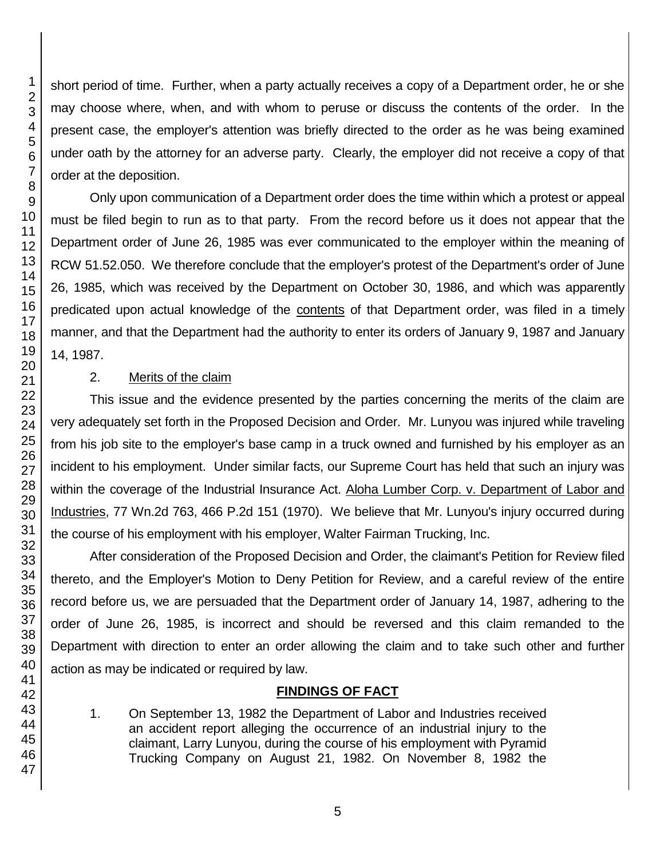short period of time. Further, when a party actually receives a copy of a Department order, he or she may choose where, when, and with whom to peruse or discuss the contents of the order. In the present case, the employer's attention was briefly directed to the order as he was being examined under oath by the attorney for an adverse party. Clearly, the employer did not receive a copy of that order at the deposition.

Only upon communication of a Department order does the time within which a protest or appeal must be filed begin to run as to that party. From the record before us it does not appear that the Department order of June 26, 1985 was ever communicated to the employer within the meaning of RCW 51.52.050. We therefore conclude that the employer's protest of the Department's order of June 26, 1985, which was received by the Department on October 30, 1986, and which was apparently predicated upon actual knowledge of the contents of that Department order, was filed in a timely manner, and that the Department had the authority to enter its orders of January 9, 1987 and January 14, 1987.

#### 2. Merits of the claim

This issue and the evidence presented by the parties concerning the merits of the claim are very adequately set forth in the Proposed Decision and Order. Mr. Lunyou was injured while traveling from his job site to the employer's base camp in a truck owned and furnished by his employer as an incident to his employment. Under similar facts, our Supreme Court has held that such an injury was within the coverage of the Industrial Insurance Act. Aloha Lumber Corp. v. Department of Labor and Industries, 77 Wn.2d 763, 466 P.2d 151 (1970). We believe that Mr. Lunyou's injury occurred during the course of his employment with his employer, Walter Fairman Trucking, Inc.

After consideration of the Proposed Decision and Order, the claimant's Petition for Review filed thereto, and the Employer's Motion to Deny Petition for Review, and a careful review of the entire record before us, we are persuaded that the Department order of January 14, 1987, adhering to the order of June 26, 1985, is incorrect and should be reversed and this claim remanded to the Department with direction to enter an order allowing the claim and to take such other and further action as may be indicated or required by law.

### **FINDINGS OF FACT**

1. On September 13, 1982 the Department of Labor and Industries received an accident report alleging the occurrence of an industrial injury to the claimant, Larry Lunyou, during the course of his employment with Pyramid Trucking Company on August 21, 1982. On November 8, 1982 the

1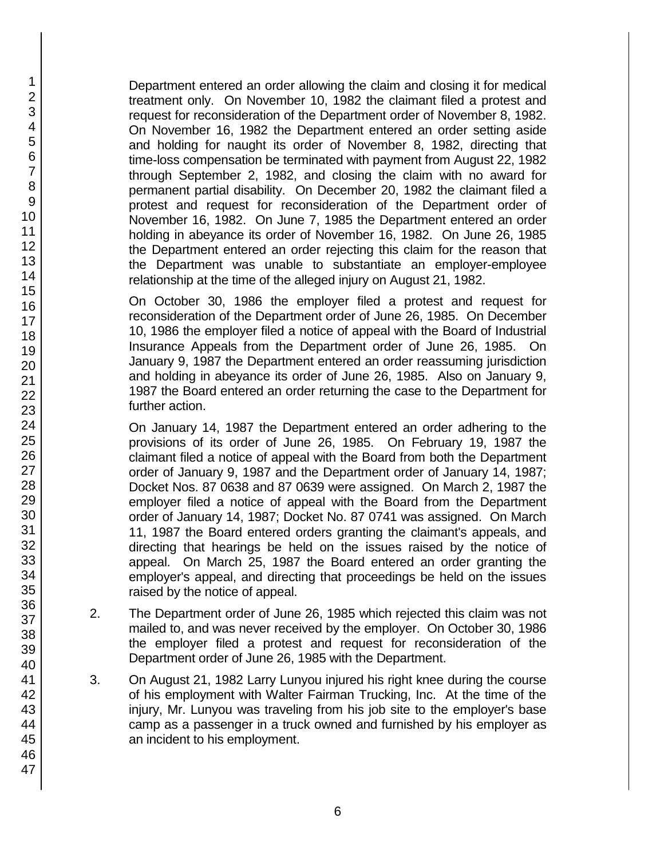Department entered an order allowing the claim and closing it for medical treatment only. On November 10, 1982 the claimant filed a protest and request for reconsideration of the Department order of November 8, 1982. On November 16, 1982 the Department entered an order setting aside and holding for naught its order of November 8, 1982, directing that time-loss compensation be terminated with payment from August 22, 1982 through September 2, 1982, and closing the claim with no award for permanent partial disability. On December 20, 1982 the claimant filed a protest and request for reconsideration of the Department order of November 16, 1982. On June 7, 1985 the Department entered an order holding in abeyance its order of November 16, 1982. On June 26, 1985 the Department entered an order rejecting this claim for the reason that the Department was unable to substantiate an employer-employee relationship at the time of the alleged injury on August 21, 1982.

On October 30, 1986 the employer filed a protest and request for reconsideration of the Department order of June 26, 1985. On December 10, 1986 the employer filed a notice of appeal with the Board of Industrial Insurance Appeals from the Department order of June 26, 1985. On January 9, 1987 the Department entered an order reassuming jurisdiction and holding in abeyance its order of June 26, 1985. Also on January 9, 1987 the Board entered an order returning the case to the Department for further action.

On January 14, 1987 the Department entered an order adhering to the provisions of its order of June 26, 1985. On February 19, 1987 the claimant filed a notice of appeal with the Board from both the Department order of January 9, 1987 and the Department order of January 14, 1987; Docket Nos. 87 0638 and 87 0639 were assigned. On March 2, 1987 the employer filed a notice of appeal with the Board from the Department order of January 14, 1987; Docket No. 87 0741 was assigned. On March 11, 1987 the Board entered orders granting the claimant's appeals, and directing that hearings be held on the issues raised by the notice of appeal. On March 25, 1987 the Board entered an order granting the employer's appeal, and directing that proceedings be held on the issues raised by the notice of appeal.

- 2. The Department order of June 26, 1985 which rejected this claim was not mailed to, and was never received by the employer. On October 30, 1986 the employer filed a protest and request for reconsideration of the Department order of June 26, 1985 with the Department.
- 3. On August 21, 1982 Larry Lunyou injured his right knee during the course of his employment with Walter Fairman Trucking, Inc. At the time of the injury, Mr. Lunyou was traveling from his job site to the employer's base camp as a passenger in a truck owned and furnished by his employer as an incident to his employment.